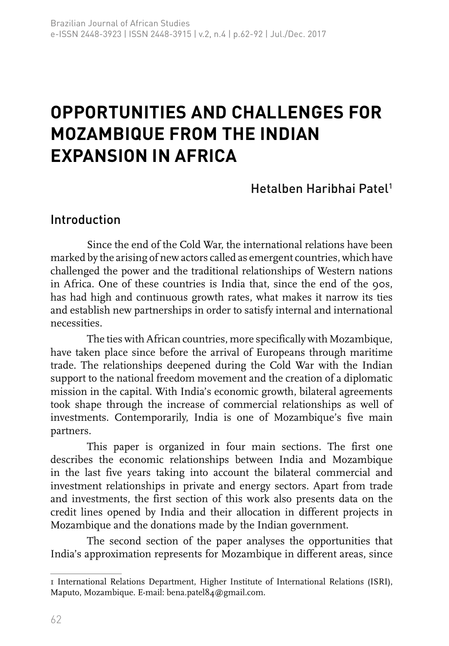# **OPPORTUNITIES AND CHALLENGES FOR MOZAMBIQUE FROM THE INDIAN EXPANSION IN AFRICA**

Hetalben Haribhai Patel1

### Introduction

Since the end of the Cold War, the international relations have been marked by the arising of new actors called as emergent countries, which have challenged the power and the traditional relationships of Western nations in Africa. One of these countries is India that, since the end of the 90s, has had high and continuous growth rates, what makes it narrow its ties and establish new partnerships in order to satisfy internal and international necessities.

The ties with African countries, more specifically with Mozambique, have taken place since before the arrival of Europeans through maritime trade. The relationships deepened during the Cold War with the Indian support to the national freedom movement and the creation of a diplomatic mission in the capital. With India's economic growth, bilateral agreements took shape through the increase of commercial relationships as well of investments. Contemporarily, India is one of Mozambique's five main partners.

This paper is organized in four main sections. The first one describes the economic relationships between India and Mozambique in the last five years taking into account the bilateral commercial and investment relationships in private and energy sectors. Apart from trade and investments, the first section of this work also presents data on the credit lines opened by India and their allocation in different projects in Mozambique and the donations made by the Indian government.

The second section of the paper analyses the opportunities that India's approximation represents for Mozambique in different areas, since

<sup>1</sup> International Relations Department, Higher Institute of International Relations (ISRI), Maputo, Mozambique. E-mail: bena.patel84@gmail.com.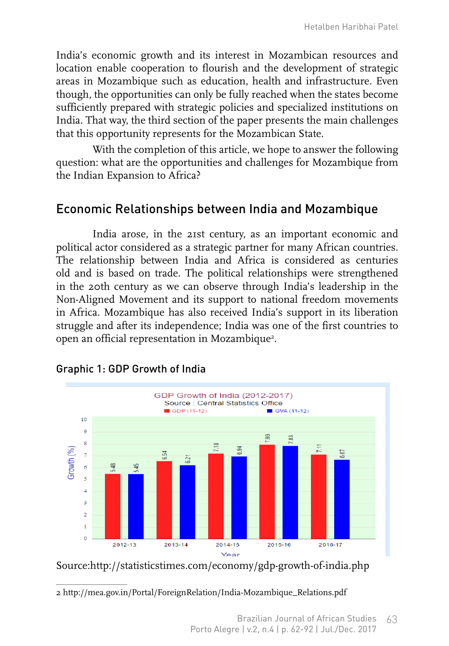India's economic growth and its interest in Mozambican resources and location enable cooperation to flourish and the development of strategic areas in Mozambique such as education, health and infrastructure. Even though, the opportunities can only be fully reached when the states become sufficiently prepared with strategic policies and specialized institutions on India. That way, the third section of the paper presents the main challenges that this opportunity represents for the Mozambican State.

With the completion of this article, we hope to answer the following question: what are the opportunities and challenges for Mozambique from the Indian Expansion to Africa?

# Economic Relationships between India and Mozambique

India arose, in the 21st century, as an important economic and political actor considered as a strategic partner for many African countries. The relationship between India and Africa is considered as centuries old and is based on trade. The political relationships were strengthened in the 20th century as we can observe through India's leadership in the Non-Aligned Movement and its support to national freedom movements in Africa. Mozambique has also received India's support in its liberation struggle and after its independence; India was one of the first countries to open an official representation in Mozambique<sup>2</sup>.



#### Graphic 1: GDP Growth of India

Source:http://statisticstimes.com/economy/gdp-growth-of-india.php

<sup>2</sup> http://mea.gov.in/Portal/ForeignRelation/India-Mozambique\_Relations.pdf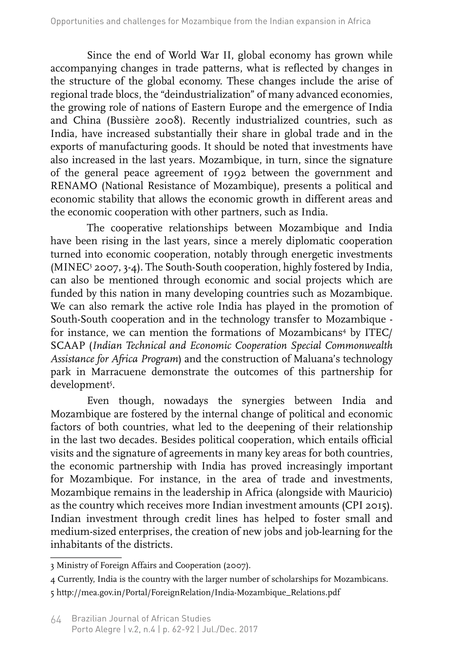Since the end of World War II, global economy has grown while accompanying changes in trade patterns, what is reflected by changes in the structure of the global economy. These changes include the arise of regional trade blocs, the "deindustrialization" of many advanced economies, the growing role of nations of Eastern Europe and the emergence of India and China (Bussière 2008). Recently industrialized countries, such as India, have increased substantially their share in global trade and in the exports of manufacturing goods. It should be noted that investments have also increased in the last years. Mozambique, in turn, since the signature of the general peace agreement of 1992 between the government and RENAMO (National Resistance of Mozambique), presents a political and economic stability that allows the economic growth in different areas and the economic cooperation with other partners, such as India.

The cooperative relationships between Mozambique and India have been rising in the last years, since a merely diplomatic cooperation turned into economic cooperation, notably through energetic investments (MINEC<sup>3</sup> 2007, 3-4). The South-South cooperation, highly fostered by India, can also be mentioned through economic and social projects which are funded by this nation in many developing countries such as Mozambique. We can also remark the active role India has played in the promotion of South-South cooperation and in the technology transfer to Mozambique for instance, we can mention the formations of Mozambicans<sup>4</sup> by ITEC/ SCAAP (*Indian Technical and Economic Cooperation Special Commonwealth Assistance for Africa Program*) and the construction of Maluana's technology park in Marracuene demonstrate the outcomes of this partnership for development<sup>5</sup>.

Even though, nowadays the synergies between India and Mozambique are fostered by the internal change of political and economic factors of both countries, what led to the deepening of their relationship in the last two decades. Besides political cooperation, which entails official visits and the signature of agreements in many key areas for both countries, the economic partnership with India has proved increasingly important for Mozambique. For instance, in the area of trade and investments, Mozambique remains in the leadership in Africa (alongside with Mauricio) as the country which receives more Indian investment amounts (CPI 2015). Indian investment through credit lines has helped to foster small and medium-sized enterprises, the creation of new jobs and job-learning for the inhabitants of the districts.

<sup>3</sup> Ministry of Foreign Affairs and Cooperation (2007).

<sup>4</sup> Currently, India is the country with the larger number of scholarships for Mozambicans.

<sup>5</sup> http://mea.gov.in/Portal/ForeignRelation/India-Mozambique\_Relations.pdf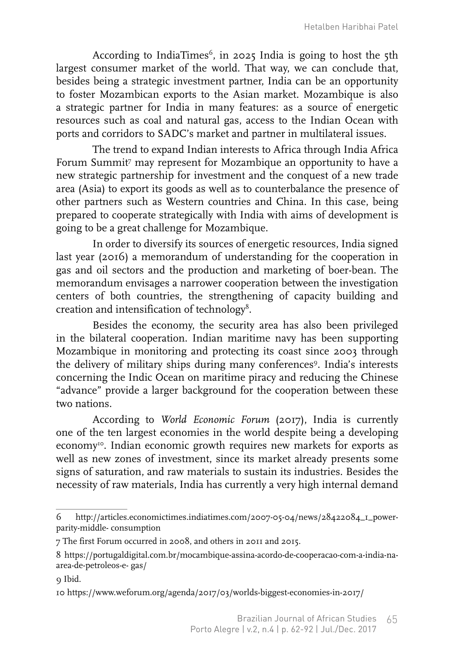According to IndiaTimes<sup>6</sup>, in 2025 India is going to host the 5th largest consumer market of the world. That way, we can conclude that, besides being a strategic investment partner, India can be an opportunity to foster Mozambican exports to the Asian market. Mozambique is also a strategic partner for India in many features: as a source of energetic resources such as coal and natural gas, access to the Indian Ocean with ports and corridors to SADC's market and partner in multilateral issues.

The trend to expand Indian interests to Africa through India Africa Forum Summit<sup>7</sup> may represent for Mozambique an opportunity to have a new strategic partnership for investment and the conquest of a new trade area (Asia) to export its goods as well as to counterbalance the presence of other partners such as Western countries and China. In this case, being prepared to cooperate strategically with India with aims of development is going to be a great challenge for Mozambique.

In order to diversify its sources of energetic resources, India signed last year (2016) a memorandum of understanding for the cooperation in gas and oil sectors and the production and marketing of boer-bean. The memorandum envisages a narrower cooperation between the investigation centers of both countries, the strengthening of capacity building and creation and intensification of technology<sup>8</sup>.

Besides the economy, the security area has also been privileged in the bilateral cooperation. Indian maritime navy has been supporting Mozambique in monitoring and protecting its coast since 2003 through the delivery of military ships during many conferences9. India's interests concerning the Indic Ocean on maritime piracy and reducing the Chinese "advance" provide a larger background for the cooperation between these two nations.

According to *World Economic Forum* (2017), India is currently one of the ten largest economies in the world despite being a developing economy<sup>10</sup>. Indian economic growth requires new markets for exports as well as new zones of investment, since its market already presents some signs of saturation, and raw materials to sustain its industries. Besides the necessity of raw materials, India has currently a very high internal demand

9 Ibid.

<sup>6</sup> http://articles.economictimes.indiatimes.com/2007-05-04/news/28422084\_1\_powerparity-middle- consumption

<sup>7</sup> The first Forum occurred in 2008, and others in 2011 and 2015.

<sup>8</sup> https://portugaldigital.com.br/mocambique-assina-acordo-de-cooperacao-com-a-india-naarea-de-petroleos-e- gas/

<sup>10</sup> https://www.weforum.org/agenda/2017/03/worlds-biggest-economies-in-2017/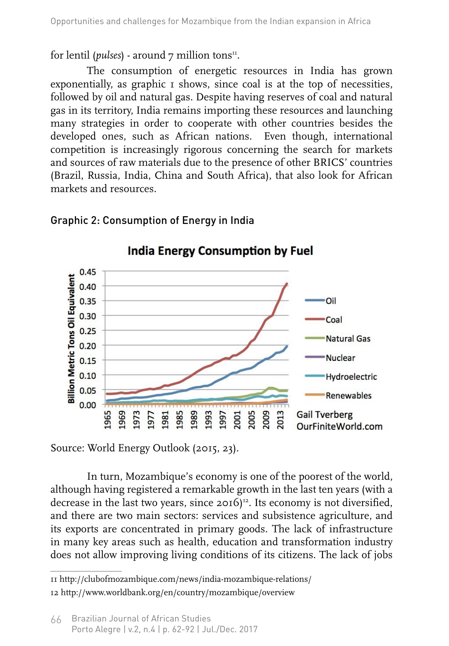for lentil (*pulses*) - around 7 million tons<sup>11</sup>.

The consumption of energetic resources in India has grown exponentially, as graphic 1 shows, since coal is at the top of necessities, followed by oil and natural gas. Despite having reserves of coal and natural gas in its territory, India remains importing these resources and launching many strategies in order to cooperate with other countries besides the developed ones, such as African nations. Even though, international competition is increasingly rigorous concerning the search for markets and sources of raw materials due to the presence of other BRICS' countries (Brazil, Russia, India, China and South Africa), that also look for African markets and resources.



### Graphic 2: Consumption of Energy in India

Source: World Energy Outlook (2015, 23).

In turn, Mozambique's economy is one of the poorest of the world, although having registered a remarkable growth in the last ten years (with a decrease in the last two years, since  $20I6$ <sup>12</sup>. Its economy is not diversified, and there are two main sectors: services and subsistence agriculture, and its exports are concentrated in primary goods. The lack of infrastructure in many key areas such as health, education and transformation industry does not allow improving living conditions of its citizens. The lack of jobs

11 http://clubofmozambique.com/news/india-mozambique-relations/ 12 http://www.worldbank.org/en/country/mozambique/overview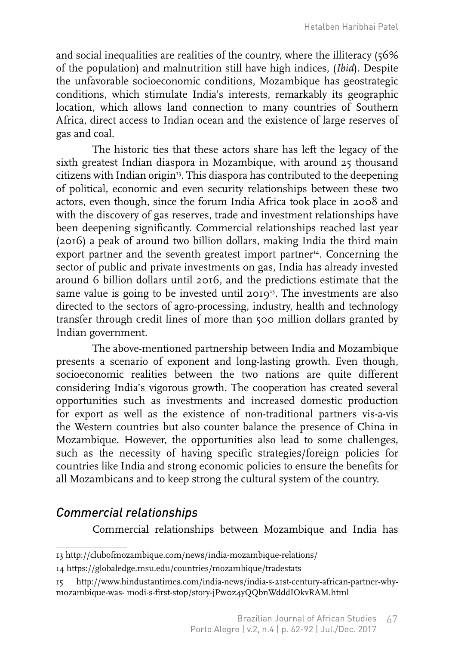and social inequalities are realities of the country, where the illiteracy (56% of the population) and malnutrition still have high indices, (*Ibid*). Despite the unfavorable socioeconomic conditions, Mozambique has geostrategic conditions, which stimulate India's interests, remarkably its geographic location, which allows land connection to many countries of Southern Africa, direct access to Indian ocean and the existence of large reserves of gas and coal.

The historic ties that these actors share has left the legacy of the sixth greatest Indian diaspora in Mozambique, with around 25 thousand  $citizers$  with Indian origin<sup>13</sup>. This diaspora has contributed to the deepening of political, economic and even security relationships between these two actors, even though, since the forum India Africa took place in 2008 and with the discovery of gas reserves, trade and investment relationships have been deepening significantly. Commercial relationships reached last year (2016) a peak of around two billion dollars, making India the third main export partner and the seventh greatest import partner<sup>14</sup>. Concerning the sector of public and private investments on gas, India has already invested around 6 billion dollars until 2016, and the predictions estimate that the same value is going to be invested until  $20Iq^{15}$ . The investments are also directed to the sectors of agro-processing, industry, health and technology transfer through credit lines of more than 500 million dollars granted by Indian government.

The above-mentioned partnership between India and Mozambique presents a scenario of exponent and long-lasting growth. Even though, socioeconomic realities between the two nations are quite different considering India's vigorous growth. The cooperation has created several opportunities such as investments and increased domestic production for export as well as the existence of non-traditional partners vis-a-vis the Western countries but also counter balance the presence of China in Mozambique. However, the opportunities also lead to some challenges, such as the necessity of having specific strategies/foreign policies for countries like India and strong economic policies to ensure the benefits for all Mozambicans and to keep strong the cultural system of the country.

# *Commercial relationships*

Commercial relationships between Mozambique and India has

<sup>13</sup> http://clubofmozambique.com/news/india-mozambique-relations/

<sup>14</sup> https://globaledge.msu.edu/countries/mozambique/tradestats

<sup>15</sup> http://www.hindustantimes.com/india-news/india-s-21st-century-african-partner-whymozambique-was- modi-s-first-stop/story-jPw0z4yQQbnWdddIOkvRAM.html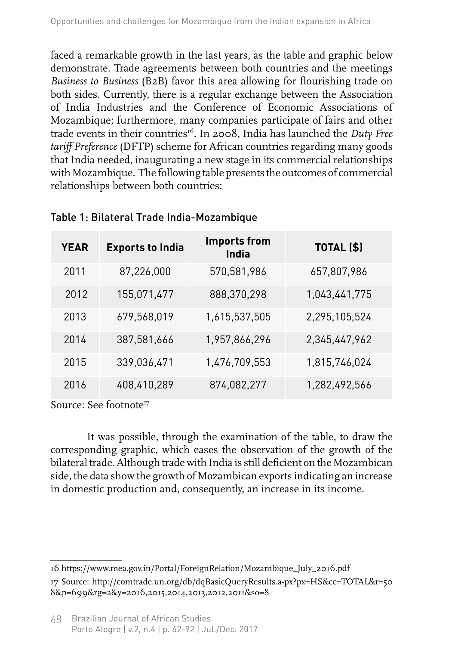faced a remarkable growth in the last years, as the table and graphic below demonstrate. Trade agreements between both countries and the meetings *Business to Business* (B2B) favor this area allowing for flourishing trade on both sides. Currently, there is a regular exchange between the Association of India Industries and the Conference of Economic Associations of Mozambique; furthermore, many companies participate of fairs and other trade events in their countries<sup>16</sup>. In 2008, India has launched the *Duty Free tariff Preference* (DFTP) scheme for African countries regarding many goods that India needed, inaugurating a new stage in its commercial relationships with Mozambique. The following table presents the outcomes of commercial relationships between both countries:

| <b>YEAR</b> | <b>Exports to India</b> | <b>Imports from</b><br>India | TOTAL (\$)    |
|-------------|-------------------------|------------------------------|---------------|
| 2011        | 87,226,000              | 570,581,986                  | 657,807,986   |
| 2012        | 155,071,477             | 888,370,298                  | 1,043,441,775 |
| 2013        | 679,568,019             | 1,615,537,505                | 2,295,105,524 |
| 2014        | 387,581,666             | 1,957,866,296                | 2,345,447,962 |
| 2015        | 339,036,471             | 1,476,709,553                | 1,815,746,024 |
| 2016        | 408,410,289             | 874,082,277                  | 1,282,492,566 |

### Table 1: Bilateral Trade India-Mozambique

Source: See footnote<sup>17</sup>

It was possible, through the examination of the table, to draw the corresponding graphic, which eases the observation of the growth of the bilateral trade. Although trade with India is still deficient on the Mozambican side, the data show the growth of Mozambican exports indicating an increase in domestic production and, consequently, an increase in its income.

<sup>16</sup> https://www.mea.gov.in/Portal/ForeignRelation/Mozambique\_July\_2016.pdf 17 Source: http://comtrade.un.org/db/dqBasicQueryResults.a-px?px=HS&cc=TOTAL&r=50 8&p=699&rg=2&y=2016,2015,2014,2013,2012,2011&so=8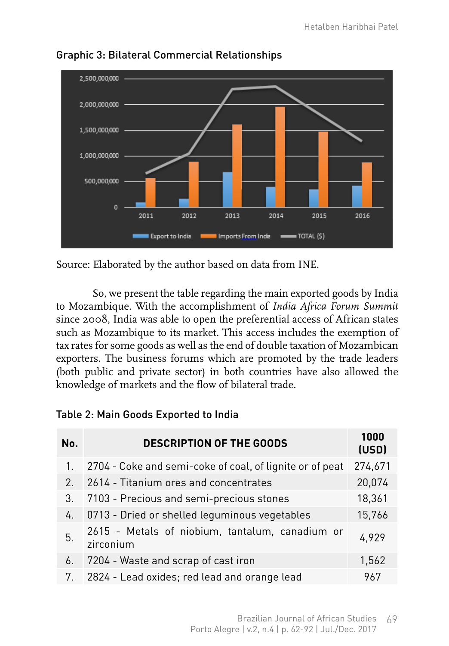

# Graphic 3: Bilateral Commercial Relationships

Source: Elaborated by the author based on data from INE.

So, we present the table regarding the main exported goods by India to Mozambique. With the accomplishment of *India Africa Forum Summit*  since 2008, India was able to open the preferential access of African states such as Mozambique to its market. This access includes the exemption of tax rates for some goods as well as the end of double taxation of Mozambican exporters. The business forums which are promoted by the trade leaders (both public and private sector) in both countries have also allowed the knowledge of markets and the flow of bilateral trade.

### Table 2: Main Goods Exported to India

| No.            | <b>DESCRIPTION OF THE GOODS</b>                              | 1000<br>(USD) |
|----------------|--------------------------------------------------------------|---------------|
| 1 <sub>1</sub> | 2704 - Coke and semi-coke of coal, of lignite or of peat     | 274,671       |
| 2.             | 2614 - Titanium ores and concentrates                        | 20,074        |
| 3.             | 7103 - Precious and semi-precious stones                     | 18,361        |
| 4.             | 0713 - Dried or shelled leguminous vegetables                | 15,766        |
| 5.             | 2615 - Metals of niobium, tantalum, canadium or<br>zirconium | 4,929         |
| 6.             | 7204 - Waste and scrap of cast iron                          | 1,562         |
| 7.             | 2824 - Lead oxides; red lead and orange lead                 | 967           |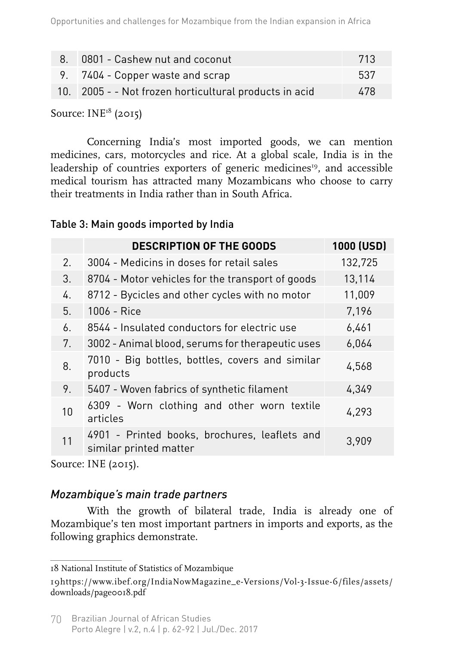| 0801 - Cashew nut and coconut                          | -713 |
|--------------------------------------------------------|------|
| 9. 7404 - Copper waste and scrap                       | -537 |
| 10. 2005 - - Not frozen horticultural products in acid | 478  |

Source: INE18 (2015)

Concerning India's most imported goods, we can mention medicines, cars, motorcycles and rice. At a global scale, India is in the leadership of countries exporters of generic medicines<sup>19</sup>, and accessible medical tourism has attracted many Mozambicans who choose to carry their treatments in India rather than in South Africa.

### Table 3: Main goods imported by India

|    | <b>DESCRIPTION OF THE GOODS</b>                                         | 1000 (USD) |
|----|-------------------------------------------------------------------------|------------|
| 2. | 3004 - Medicins in doses for retail sales                               | 132,725    |
| 3. | 8704 - Motor vehicles for the transport of goods                        | 13,114     |
| 4. | 8712 - Bycicles and other cycles with no motor                          | 11,009     |
| 5. | 1006 - Rice                                                             | 7,196      |
| 6. | 8544 - Insulated conductors for electric use                            | 6,461      |
| 7. | 3002 - Animal blood, serums for therapeutic uses                        | 6,064      |
| 8. | 7010 - Big bottles, bottles, covers and similar<br>products             | 4,568      |
| 9. | 5407 - Woven fabrics of synthetic filament                              | 4,349      |
| 10 | 6309 - Worn clothing and other worn textile<br>articles                 | 4,293      |
| 11 | 4901 - Printed books, brochures, leaflets and<br>similar printed matter | 3,909      |

Source: INE (2015).

## *Mozambique's main trade partners*

With the growth of bilateral trade, India is already one of Mozambique's ten most important partners in imports and exports, as the following graphics demonstrate.

18 National Institute of Statistics of Mozambique

<sup>19</sup>https://www.ibef.org/IndiaNowMagazine\_e-Versions/Vol-3-Issue-6/files/assets/ downloads/page0018.pdf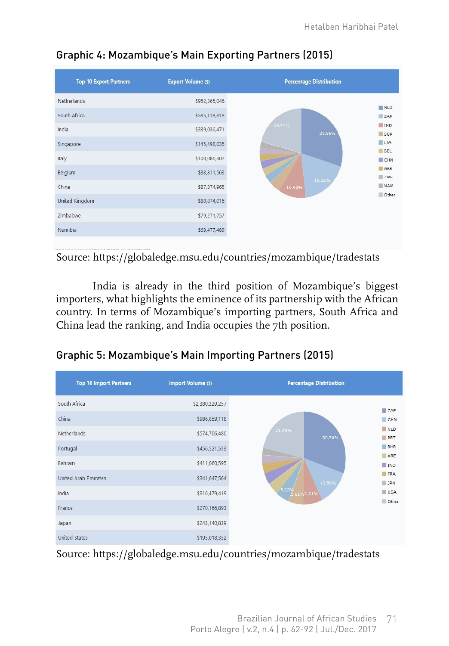

## Graphic 4: Mozambique's Main Exporting Partners (2015)

Source: https://globaledge.msu.edu/countries/mozambique/tradestats

India is already in the third position of Mozambique's biggest importers, what highlights the eminence of its partnership with the African country. In terms of Mozambique's importing partners, South Africa and China lead the ranking, and India occupies the 7th position.

Graphic 5: Mozambique's Main Importing Partners (2015)

| <b>Top 10 Import Partners</b> | Import Volume (\$) |
|-------------------------------|--------------------|
| South Africa                  | \$2,380,229,257    |
| China                         | \$986,859,118      |
| Netherlands                   | \$574,706,480      |
| Portugal                      | \$456,521,533      |
| Bahrain                       | \$411,060,595      |
| <b>United Arab Emirates</b>   | \$341,647,564      |
| India                         | \$316,479,419      |
| France                        | \$270,166,893      |
| Japan                         | \$243,140,839      |
| <b>United States</b>          | \$195,018,352      |

Source: https://globaledge.msu.edu/countries/mozambique/tradestats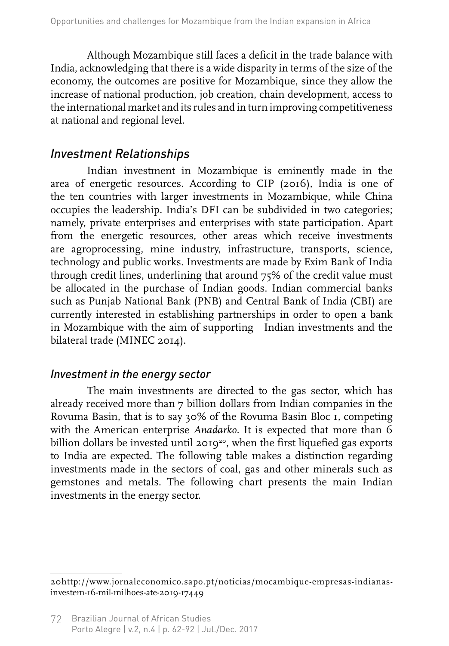Although Mozambique still faces a deficit in the trade balance with India, acknowledging that there is a wide disparity in terms of the size of the economy, the outcomes are positive for Mozambique, since they allow the increase of national production, job creation, chain development, access to the international market and its rules and in turn improving competitiveness at national and regional level.

# *Investment Relationships*

Indian investment in Mozambique is eminently made in the area of energetic resources. According to CIP (2016), India is one of the ten countries with larger investments in Mozambique, while China occupies the leadership. India's DFI can be subdivided in two categories; namely, private enterprises and enterprises with state participation. Apart from the energetic resources, other areas which receive investments are agroprocessing, mine industry, infrastructure, transports, science, technology and public works. Investments are made by Exim Bank of India through credit lines, underlining that around 75% of the credit value must be allocated in the purchase of Indian goods. Indian commercial banks such as Punjab National Bank (PNB) and Central Bank of India (CBI) are currently interested in establishing partnerships in order to open a bank in Mozambique with the aim of supporting Indian investments and the bilateral trade (MINEC 2014).

## *Investment in the energy sector*

The main investments are directed to the gas sector, which has already received more than 7 billion dollars from Indian companies in the Rovuma Basin, that is to say 30% of the Rovuma Basin Bloc 1, competing with the American enterprise *Anadarko*. It is expected that more than 6 billion dollars be invested until 2019<sup>20</sup>, when the first liquefied gas exports to India are expected. The following table makes a distinction regarding investments made in the sectors of coal, gas and other minerals such as gemstones and metals. The following chart presents the main Indian investments in the energy sector.

<sup>20</sup>http://www.jornaleconomico.sapo.pt/noticias/mocambique-empresas-indianasinvestem-16-mil-milhoes-ate-2019-17449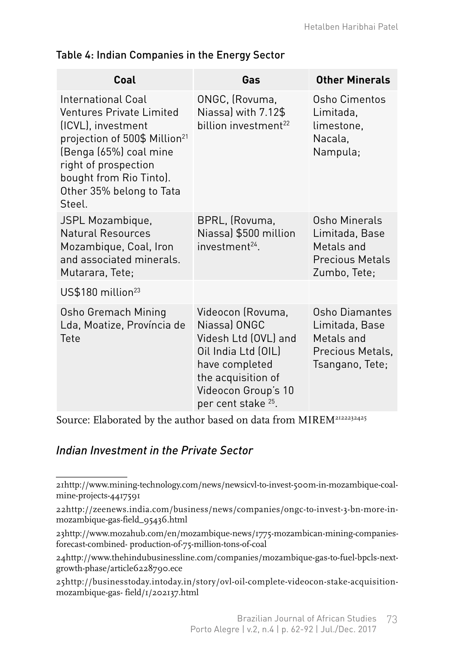| Coal                                                                                                                                                                                                                                        | Gas                                                                                                                                                                               | <b>Other Minerals</b>                                                                   |
|---------------------------------------------------------------------------------------------------------------------------------------------------------------------------------------------------------------------------------------------|-----------------------------------------------------------------------------------------------------------------------------------------------------------------------------------|-----------------------------------------------------------------------------------------|
| <b>International Coal</b><br>Ventures Private Limited<br>(ICVL), investment<br>projection of 500\$ Million <sup>21</sup><br>(Benga (65%) coal mine<br>right of prospection<br>bought from Rio Tinto).<br>Other 35% belong to Tata<br>Steel. | ONGC, (Rovuma,<br>Niassa) with 7.12\$<br>billion investment <sup>22</sup>                                                                                                         | Osho Cimentos<br>Limitada,<br>limestone,<br>Nacala,<br>Nampula;                         |
| JSPL Mozambique,<br><b>Natural Resources</b><br>Mozambique, Coal, Iron<br>and associated minerals.<br>Mutarara, Tete;                                                                                                                       | BPRL, (Rovuma,<br>Niassa) \$500 million<br>investment <sup>24</sup> .                                                                                                             | Osho Minerals<br>Limitada, Base<br>Metals and<br><b>Precious Metals</b><br>Zumbo, Tete; |
| US\$180 million <sup>23</sup>                                                                                                                                                                                                               |                                                                                                                                                                                   |                                                                                         |
| Osho Gremach Mining<br>Lda, Moatize, Província de<br>Tete                                                                                                                                                                                   | Videocon (Rovuma,<br>Niassa) ONGC<br>Videsh Ltd (OVL) and<br>Oil India Ltd (OIL)<br>have completed<br>the acquisition of<br>Videocon Group's 10<br>per cent stake <sup>25</sup> . | Osho Diamantes<br>Limitada, Base<br>Metals and<br>Precious Metals,<br>Tsangano, Tete;   |

# Table 4: Indian Companies in the Energy Sector

Source: Elaborated by the author based on data from MIREM<sup>2122232425</sup>

# *Indian Investment in the Private Sector*

<sup>21</sup>http://www.mining-technology.com/news/newsicvl-to-invest-500m-in-mozambique-coalmine-projects-4417591

<sup>22</sup>http://zeenews.india.com/business/news/companies/ongc-to-invest-3-bn-more-inmozambique-gas-field\_95436.html

<sup>23</sup>http://www.mozahub.com/en/mozambique-news/1775-mozambican-mining-companiesforecast-combined- production-of-75-million-tons-of-coal

<sup>24</sup>http://www.thehindubusinessline.com/companies/mozambique-gas-to-fuel-bpcls-nextgrowth-phase/article6228790.ece

<sup>25</sup>http://businesstoday.intoday.in/story/ovl-oil-complete-videocon-stake-acquisitionmozambique-gas- field/1/202137.html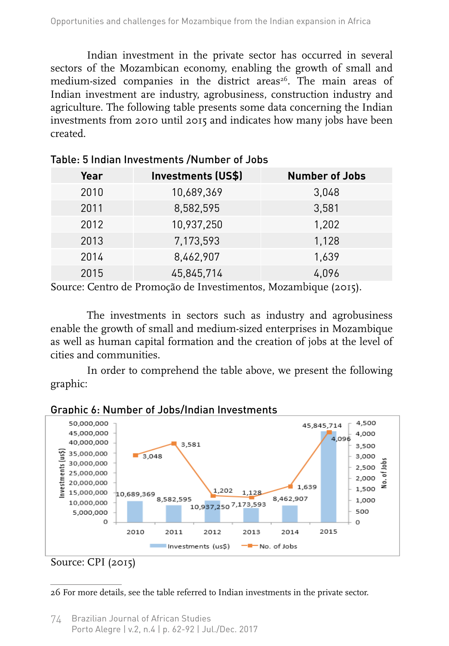Indian investment in the private sector has occurred in several sectors of the Mozambican economy, enabling the growth of small and medium-sized companies in the district areas<sup>26</sup>. The main areas of Indian investment are industry, agrobusiness, construction industry and agriculture. The following table presents some data concerning the Indian investments from 2010 until 2015 and indicates how many jobs have been created.

| Year | Investments (US\$) | <b>Number of Jobs</b> |
|------|--------------------|-----------------------|
| 2010 | 10,689,369         | 3,048                 |
| 2011 | 8,582,595          | 3,581                 |
| 2012 | 10,937,250         | 1,202                 |
| 2013 | 7,173,593          | 1,128                 |
| 2014 | 8,462,907          | 1,639                 |
| 2015 | 45,845,714         | 4.096                 |

| Table: 5 Indian Investments / Number of Jobs |  |
|----------------------------------------------|--|
|----------------------------------------------|--|

Source: Centro de Promoção de Investimentos, Mozambique (2015).

The investments in sectors such as industry and agrobusiness enable the growth of small and medium-sized enterprises in Mozambique as well as human capital formation and the creation of jobs at the level of cities and communities.

In order to comprehend the table above, we present the following graphic:



#### Graphic 6: Number of Jobs/Indian Investments

Source: CPI (2015)

<sup>26</sup> For more details, see the table referred to Indian investments in the private sector.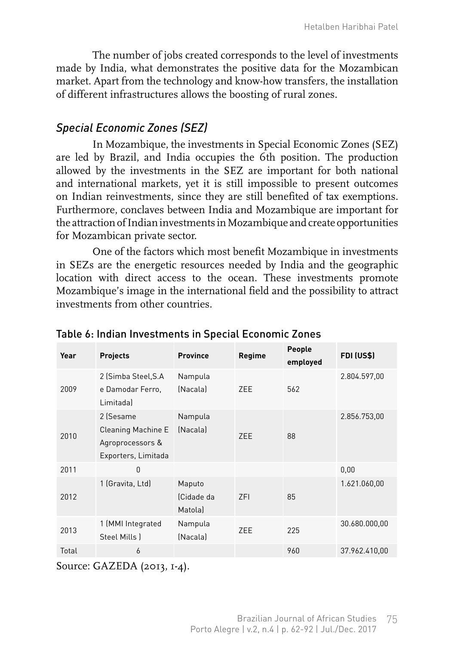The number of jobs created corresponds to the level of investments made by India, what demonstrates the positive data for the Mozambican market. Apart from the technology and know-how transfers, the installation of different infrastructures allows the boosting of rural zones.

# *Special Economic Zones (SEZ)*

In Mozambique, the investments in Special Economic Zones (SEZ) are led by Brazil, and India occupies the 6th position. The production allowed by the investments in the SEZ are important for both national and international markets, yet it is still impossible to present outcomes on Indian reinvestments, since they are still benefited of tax exemptions. Furthermore, conclaves between India and Mozambique are important for the attraction of Indian investments in Mozambique and create opportunities for Mozambican private sector.

One of the factors which most benefit Mozambique in investments in SEZs are the energetic resources needed by India and the geographic location with direct access to the ocean. These investments promote Mozambique's image in the international field and the possibility to attract investments from other countries.

| Year  | <b>Projects</b>                                                            | <b>Province</b>                 | Regime     | People<br>employed | <b>FDI (US\$)</b> |
|-------|----------------------------------------------------------------------------|---------------------------------|------------|--------------------|-------------------|
| 2009  | 2 (Simba Steel, S.A.<br>e Damodar Ferro.<br>Limitadal                      | Nampula<br>(Nacala)             | <b>ZEE</b> | 562                | 2.804.597,00      |
| 2010  | 2 (Sesame<br>Cleaning Machine E<br>Agroprocessors &<br>Exporters, Limitada | Nampula<br>(Nacala)             | <b>ZEE</b> | 88                 | 2.856.753,00      |
| 2011  | $\mathbf{0}$                                                               |                                 |            |                    | 0,00              |
| 2012  | 1 (Gravita, Ltd)                                                           | Maputo<br>(Cidade da<br>Matola) | <b>ZFI</b> | 85                 | 1.621.060,00      |
| 2013  | 1 (MMI Integrated<br>Steel Mills )                                         | Nampula<br>(Nacala)             | <b>ZEE</b> | 225                | 30.680.000,00     |
| Total | 6                                                                          |                                 |            | 960                | 37.962.410,00     |

#### Table 6: Indian Investments in Special Economic Zones

Source: GAZEDA (2013, 1-4).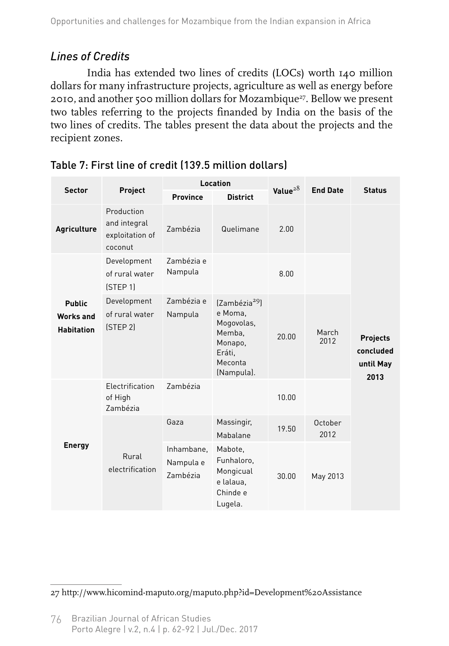# *Lines of Credits*

India has extended two lines of credits (LOCs) worth 140 million dollars for many infrastructure projects, agriculture as well as energy before 2010, and another 500 million dollars for Mozambique<sup>27</sup>. Bellow we present two tables referring to the projects finanded by India on the basis of the two lines of credits. The tables present the data about the projects and the recipient zones.

| <b>Sector</b>                                   | Project                                                  | Location                            |                                                                                                            | Value $^{28}$ | <b>End Date</b> | <b>Status</b>                                     |
|-------------------------------------------------|----------------------------------------------------------|-------------------------------------|------------------------------------------------------------------------------------------------------------|---------------|-----------------|---------------------------------------------------|
|                                                 |                                                          | <b>Province</b>                     | <b>District</b>                                                                                            |               |                 |                                                   |
| Agriculture                                     | Production<br>and integral<br>exploitation of<br>coconut | Zambézia                            | Quelimane                                                                                                  | 2.00          |                 |                                                   |
|                                                 | Development<br>of rural water<br>(STEP 1)                | Zambézia e<br>Nampula               |                                                                                                            | 8.00          |                 |                                                   |
| <b>Public</b><br>Works and<br><b>Habitation</b> | Development<br>of rural water<br>(STEP <sub>2</sub> )    | Zambézia e<br>Nampula               | [Zambézia <sup>29</sup> ]<br>e Moma,<br>Mogovolas,<br>Memba,<br>Monapo,<br>Eráti,<br>Meconta<br>(Nampula). | 20.00         | March<br>2012   | <b>Projects</b><br>concluded<br>until May<br>2013 |
| <b>Energy</b>                                   | Electrification<br>of High<br>Zambézia                   | Zambézia                            |                                                                                                            | 10.00         |                 |                                                   |
|                                                 |                                                          | Gaza                                | Massingir,<br>Mabalane                                                                                     | 19.50         | October<br>2012 |                                                   |
|                                                 | Rural<br>electrification                                 | Inhambane,<br>Nampula e<br>Zambézia | Mabote,<br>Funhaloro,<br>Mongicual<br>e lalaua.<br>Chinde e<br>Lugela.                                     | 30.00         | May 2013        |                                                   |

## Table 7: First line of credit (139.5 million dollars)

<sup>27</sup> http://www.hicomind-maputo.org/maputo.php?id=Development%20Assistance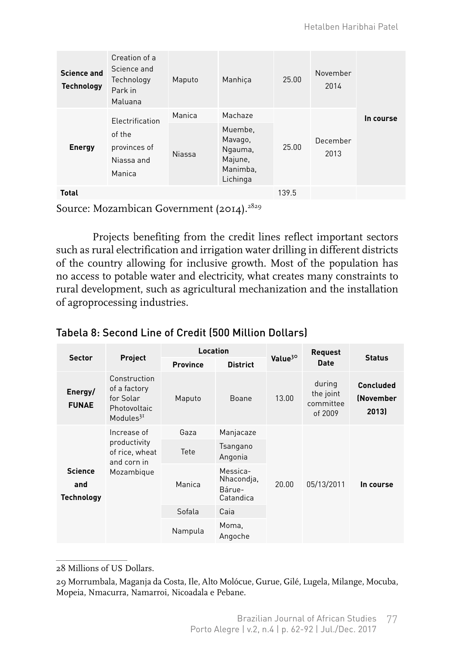| <b>Science and</b><br><b>Technology</b> | Creation of a<br>Science and<br>Technology<br>Park in<br>Maluana  | Maputo           | Manhiça                                                                     | 25.00 | November<br>2014 |           |
|-----------------------------------------|-------------------------------------------------------------------|------------------|-----------------------------------------------------------------------------|-------|------------------|-----------|
| <b>Energy</b>                           | Electrification<br>of the<br>provinces of<br>Niassa and<br>Manica | Manica<br>Niassa | Machaze<br>Muembe,<br>Mavago,<br>Ngauma,<br>Majune,<br>Manimba,<br>Lichinga | 25.00 | December<br>2013 | In course |
| <b>Total</b>                            |                                                                   |                  |                                                                             | 139.5 |                  |           |

Source: Mozambican Government (2014).<sup>2829</sup>

Projects benefiting from the credit lines reflect important sectors such as rural electrification and irrigation water drilling in different districts of the country allowing for inclusive growth. Most of the population has no access to potable water and electricity, what creates many constraints to rural development, such as agricultural mechanization and the installation of agroprocessing industries.

#### Tabela 8: Second Line of Credit (500 Million Dollars)

| <b>Sector</b>           | Location                                                                  |                 |                      |                   | <b>Request</b>                              | <b>Status</b>                          |
|-------------------------|---------------------------------------------------------------------------|-----------------|----------------------|-------------------|---------------------------------------------|----------------------------------------|
|                         | Project                                                                   | <b>Province</b> | <b>District</b>      | Value $3^{\circ}$ | <b>Date</b>                                 |                                        |
| Energy/<br><b>FUNAE</b> | Construction<br>of a factory<br>for Solar<br>Photovoltaic<br>Modules $3I$ | Maputo          | Boane                | 13.00             | during<br>the joint<br>committee<br>of 2009 | Concluded<br><b>(November</b><br>2013) |
|                         | Increase of                                                               | Gaza            | Manjacaze            |                   |                                             |                                        |
|                         | productivity<br>of rice, wheat<br>and corn in                             | Tete            | Tsangano<br>Angonia  |                   |                                             |                                        |
| <b>Science</b>          | Mozambique                                                                | Messica-        |                      |                   |                                             |                                        |
| and                     |                                                                           | Manica          | Nhacondja,<br>Bárue- | 20.00             | 05/13/2011                                  | In course                              |
| <b>Technology</b>       |                                                                           |                 | Catandica            |                   |                                             |                                        |
|                         |                                                                           | Sofala          | Caia                 |                   |                                             |                                        |
|                         |                                                                           | Nampula         | Moma,<br>Angoche     |                   |                                             |                                        |

<sup>28</sup> Millions of US Dollars.

<sup>29</sup> Morrumbala, Maganja da Costa, Ile, Alto Molócue, Gurue, Gilé, Lugela, Milange, Mocuba, Mopeia, Nmacurra, Namarroi, Nicoadala e Pebane.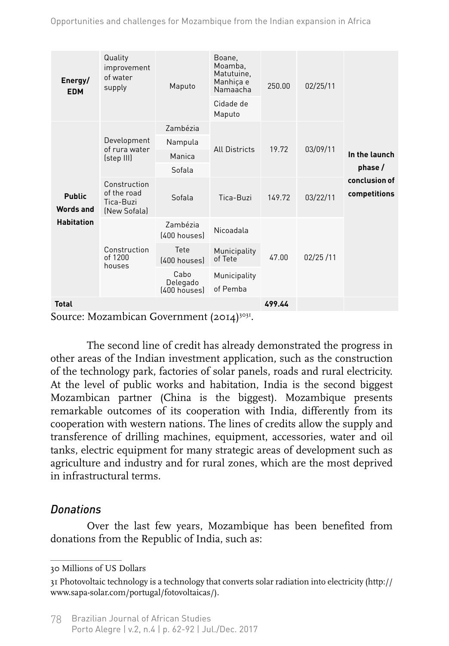Opportunities and challenges for Mozambique from the Indian expansion in Africa

| Energy/<br><b>EDM</b>                                  | Quality<br>improvement<br>of water<br>supply             | Maputo                           | Boane,<br>Moamba,<br>Matutuine,<br>Manhiça e<br>Namaacha<br>Cidade de<br>Maputo | 25000  | 02/25/11 |                               |
|--------------------------------------------------------|----------------------------------------------------------|----------------------------------|---------------------------------------------------------------------------------|--------|----------|-------------------------------|
|                                                        |                                                          | Zambézia                         |                                                                                 |        |          |                               |
|                                                        | Development<br>of rura water<br>(step III)               | Nampula                          | <b>All Districts</b>                                                            | 19.72  | 03/09/11 | In the launch<br>phase /      |
|                                                        |                                                          | Manica                           |                                                                                 |        |          |                               |
|                                                        |                                                          | Sofala                           |                                                                                 |        |          |                               |
| <b>Public</b><br><b>Words and</b><br><b>Habitation</b> | Construction<br>of the road<br>Tica-Buzi<br>[New Sofala] | Sofala                           | Tica-Buzi                                                                       | 149 72 | 03/22/11 | conclusion of<br>competitions |
|                                                        |                                                          | Zambézia<br>(400 houses)         | Nicoadala                                                                       |        |          |                               |
|                                                        | Construction<br>of 1200<br>houses                        | Tete<br>(400 houses)             | Municipality<br>of Tete                                                         | 47.00  | 02/25/11 |                               |
|                                                        |                                                          | Cabo<br>Delegado<br>(400 houses) | Municipality<br>of Pemba                                                        |        |          |                               |
| <b>Total</b>                                           |                                                          |                                  |                                                                                 | 499.44 |          |                               |

Source: Mozambican Government (2014)<sup>3031</sup>.

The second line of credit has already demonstrated the progress in other areas of the Indian investment application, such as the construction of the technology park, factories of solar panels, roads and rural electricity. At the level of public works and habitation, India is the second biggest Mozambican partner (China is the biggest). Mozambique presents remarkable outcomes of its cooperation with India, differently from its cooperation with western nations. The lines of credits allow the supply and transference of drilling machines, equipment, accessories, water and oil tanks, electric equipment for many strategic areas of development such as agriculture and industry and for rural zones, which are the most deprived in infrastructural terms.

## *Donations*

Over the last few years, Mozambique has been benefited from donations from the Republic of India, such as:

<sup>30</sup> Millions of US Dollars

<sup>31</sup> Photovoltaic technology is a technology that converts solar radiation into electricity (http:// www.sapa-solar.com/portugal/fotovoltaicas/).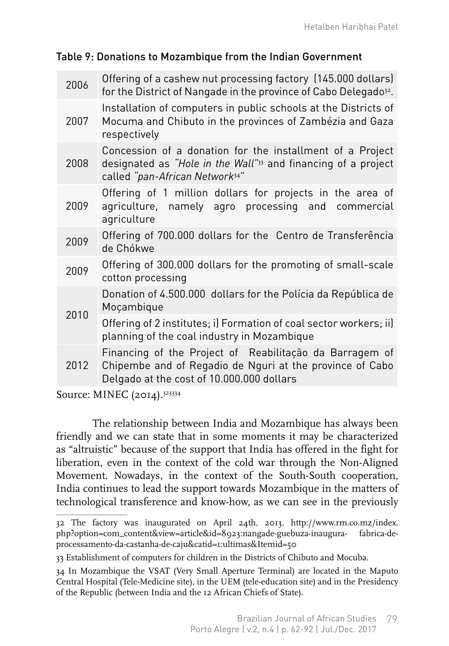### Table 9: Donations to Mozambique from the Indian Government

| 2006 | Offering of a cashew nut processing factory (145.000 dollars)<br>for the District of Nangade in the province of Cabo Delegado <sup>32</sup> .                                        |
|------|--------------------------------------------------------------------------------------------------------------------------------------------------------------------------------------|
| 2007 | Installation of computers in public schools at the Districts of<br>Mocuma and Chibuto in the provinces of Zambézia and Gaza<br>respectively                                          |
| 2008 | Concession of a donation for the installment of a Project<br>designated as "Hole in the Wall" <sup>33</sup> and financing of a project<br>called "pan-African Network <sup>34"</sup> |
| 2009 | Offering of 1 million dollars for projects in the area of<br>agriculture, namely agro processing and commercial<br>agriculture                                                       |
| 2009 | Offering of 700.000 dollars for the Centro de Transferência<br>de Chókwe                                                                                                             |
| 2009 | Offering of 300.000 dollars for the promoting of small-scale<br>cotton processing                                                                                                    |
| 2010 | Donation of 4.500.000 dollars for the Polícia da República de<br>Moçambique                                                                                                          |
|      | Offering of 2 institutes; i) Formation of coal sector workers; ii)<br>planning of the coal industry in Mozambique                                                                    |
| 2012 | Financing of the Project of Reabilitação da Barragem of<br>Chipembe and of Regadio de Nguri at the province of Cabo<br>Delgado at the cost of 10.000.000 dollars                     |

Source: MINEC (2014).<sup>323334</sup>

The relationship between India and Mozambique has always been friendly and we can state that in some moments it may be characterized as "altruistic" because of the support that India has offered in the fight for liberation, even in the context of the cold war through the Non-Aligned Movement. Nowadays, in the context of the South-South cooperation, India continues to lead the support towards Mozambique in the matters of technological transference and know-how, as we can see in the previously

<sup>32</sup> The factory was inaugurated on April 24th, 2013. http://www.rm.co.mz/index. php?option=com\_content&view=article&id=8923:nangade-guebuza-inaugura- fabrica-deprocessamento-da-castanha-de-caju&catid=1:ultimas&Itemid=50

<sup>33</sup> Establishment of computers for children in the Districts of Chibuto and Mocuba.

<sup>34</sup> In Mozambique the VSAT (Very Small Aperture Terminal) are located in the Maputo Central Hospital (Tele-Medicine site), in the UEM (tele-education site) and in the Presidency of the Republic (between India and the 12 African Chiefs of State).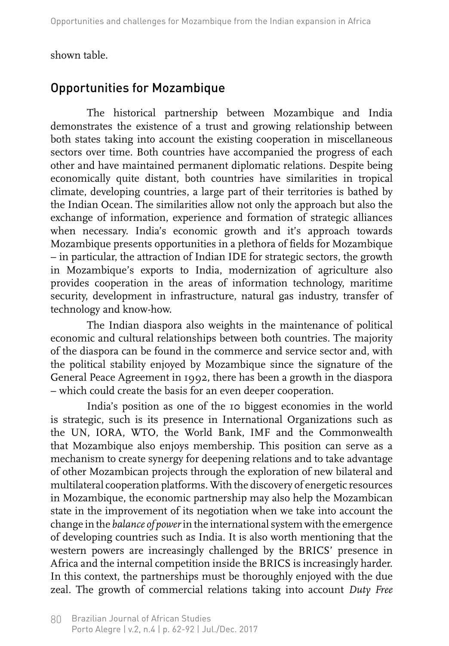### shown table.

# Opportunities for Mozambique

The historical partnership between Mozambique and India demonstrates the existence of a trust and growing relationship between both states taking into account the existing cooperation in miscellaneous sectors over time. Both countries have accompanied the progress of each other and have maintained permanent diplomatic relations. Despite being economically quite distant, both countries have similarities in tropical climate, developing countries, a large part of their territories is bathed by the Indian Ocean. The similarities allow not only the approach but also the exchange of information, experience and formation of strategic alliances when necessary. India's economic growth and it's approach towards Mozambique presents opportunities in a plethora of fields for Mozambique – in particular, the attraction of Indian IDE for strategic sectors, the growth in Mozambique's exports to India, modernization of agriculture also provides cooperation in the areas of information technology, maritime security, development in infrastructure, natural gas industry, transfer of technology and know-how.

The Indian diaspora also weights in the maintenance of political economic and cultural relationships between both countries. The majority of the diaspora can be found in the commerce and service sector and, with the political stability enjoyed by Mozambique since the signature of the General Peace Agreement in 1992, there has been a growth in the diaspora – which could create the basis for an even deeper cooperation.

India's position as one of the 10 biggest economies in the world is strategic, such is its presence in International Organizations such as the UN, IORA, WTO, the World Bank, IMF and the Commonwealth that Mozambique also enjoys membership. This position can serve as a mechanism to create synergy for deepening relations and to take advantage of other Mozambican projects through the exploration of new bilateral and multilateral cooperation platforms. With the discovery of energetic resources in Mozambique, the economic partnership may also help the Mozambican state in the improvement of its negotiation when we take into account the change in the *balance of power* in the international system with the emergence of developing countries such as India. It is also worth mentioning that the western powers are increasingly challenged by the BRICS' presence in Africa and the internal competition inside the BRICS is increasingly harder. In this context, the partnerships must be thoroughly enjoyed with the due zeal. The growth of commercial relations taking into account *Duty Free*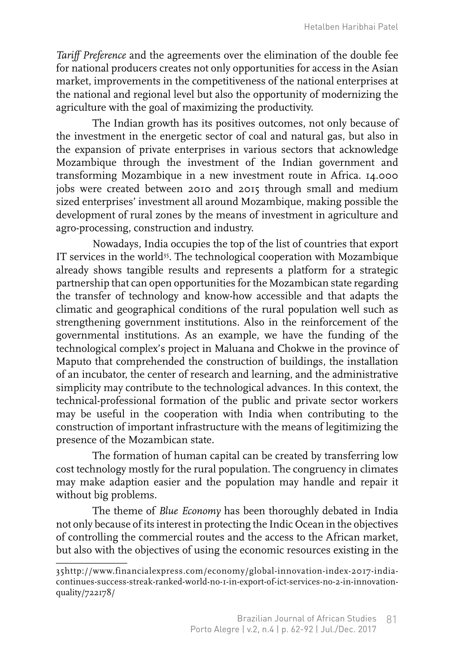*Tariff Preference* and the agreements over the elimination of the double fee for national producers creates not only opportunities for access in the Asian market, improvements in the competitiveness of the national enterprises at the national and regional level but also the opportunity of modernizing the agriculture with the goal of maximizing the productivity.

The Indian growth has its positives outcomes, not only because of the investment in the energetic sector of coal and natural gas, but also in the expansion of private enterprises in various sectors that acknowledge Mozambique through the investment of the Indian government and transforming Mozambique in a new investment route in Africa. 14.000 jobs were created between 2010 and 2015 through small and medium sized enterprises' investment all around Mozambique, making possible the development of rural zones by the means of investment in agriculture and agro-processing, construction and industry.

Nowadays, India occupies the top of the list of countries that export IT services in the world<sup>35</sup>. The technological cooperation with Mozambique already shows tangible results and represents a platform for a strategic partnership that can open opportunities for the Mozambican state regarding the transfer of technology and know-how accessible and that adapts the climatic and geographical conditions of the rural population well such as strengthening government institutions. Also in the reinforcement of the governmental institutions. As an example, we have the funding of the technological complex's project in Maluana and Chokwe in the province of Maputo that comprehended the construction of buildings, the installation of an incubator, the center of research and learning, and the administrative simplicity may contribute to the technological advances. In this context, the technical-professional formation of the public and private sector workers may be useful in the cooperation with India when contributing to the construction of important infrastructure with the means of legitimizing the presence of the Mozambican state.

The formation of human capital can be created by transferring low cost technology mostly for the rural population. The congruency in climates may make adaption easier and the population may handle and repair it without big problems.

The theme of *Blue Economy* has been thoroughly debated in India not only because of its interest in protecting the Indic Ocean in the objectives of controlling the commercial routes and the access to the African market, but also with the objectives of using the economic resources existing in the

<sup>35</sup>http://www.financialexpress.com/economy/global-innovation-index-2017-indiacontinues-success-streak-ranked-world-no-1-in-export-of-ict-services-no-2-in-innovationquality/722178/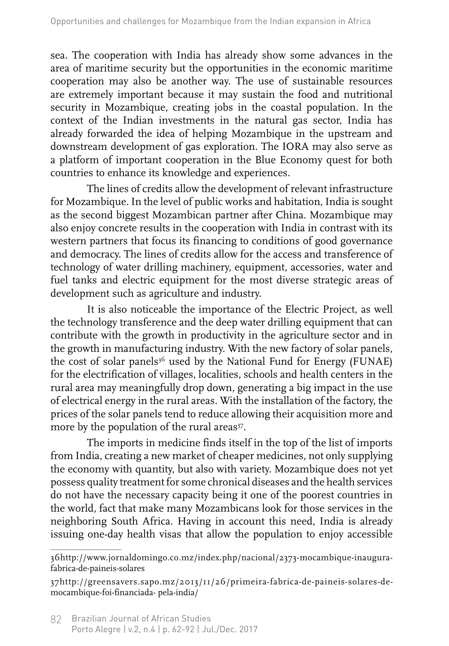sea. The cooperation with India has already show some advances in the area of maritime security but the opportunities in the economic maritime cooperation may also be another way. The use of sustainable resources are extremely important because it may sustain the food and nutritional security in Mozambique, creating jobs in the coastal population. In the context of the Indian investments in the natural gas sector, India has already forwarded the idea of helping Mozambique in the upstream and downstream development of gas exploration. The IORA may also serve as a platform of important cooperation in the Blue Economy quest for both countries to enhance its knowledge and experiences.

The lines of credits allow the development of relevant infrastructure for Mozambique. In the level of public works and habitation, India is sought as the second biggest Mozambican partner after China. Mozambique may also enjoy concrete results in the cooperation with India in contrast with its western partners that focus its financing to conditions of good governance and democracy. The lines of credits allow for the access and transference of technology of water drilling machinery, equipment, accessories, water and fuel tanks and electric equipment for the most diverse strategic areas of development such as agriculture and industry.

It is also noticeable the importance of the Electric Project, as well the technology transference and the deep water drilling equipment that can contribute with the growth in productivity in the agriculture sector and in the growth in manufacturing industry. With the new factory of solar panels, the cost of solar panels<sup>36</sup> used by the National Fund for Energy (FUNAE) for the electrification of villages, localities, schools and health centers in the rural area may meaningfully drop down, generating a big impact in the use of electrical energy in the rural areas. With the installation of the factory, the prices of the solar panels tend to reduce allowing their acquisition more and more by the population of the rural areas<sup>37</sup>.

The imports in medicine finds itself in the top of the list of imports from India, creating a new market of cheaper medicines, not only supplying the economy with quantity, but also with variety. Mozambique does not yet possess quality treatment for some chronical diseases and the health services do not have the necessary capacity being it one of the poorest countries in the world, fact that make many Mozambicans look for those services in the neighboring South Africa. Having in account this need, India is already issuing one-day health visas that allow the population to enjoy accessible

<sup>36</sup>http://www.jornaldomingo.co.mz/index.php/nacional/2373-mocambique-inaugurafabrica-de-paineis-solares

<sup>37</sup>http://greensavers.sapo.mz/2013/11/26/primeira-fabrica-de-paineis-solares-democambique-foi-financiada- pela-india/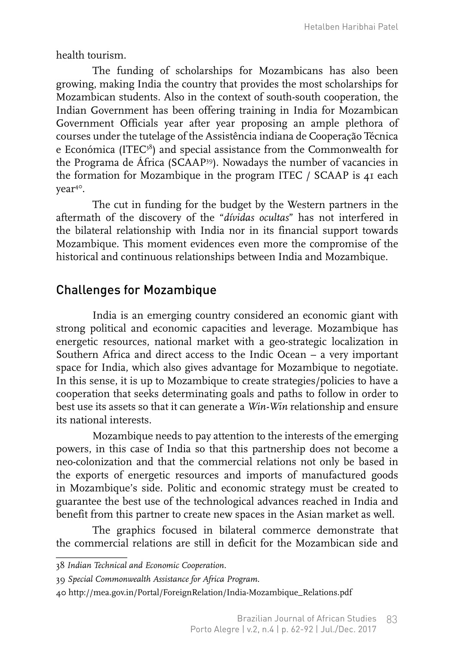health tourism.

The funding of scholarships for Mozambicans has also been growing, making India the country that provides the most scholarships for Mozambican students. Also in the context of south-south cooperation, the Indian Government has been offering training in India for Mozambican Government Officials year after year proposing an ample plethora of courses under the tutelage of the Assistência indiana de Cooperação Técnica e Económica (ITEC<sup>38</sup>) and special assistance from the Commonwealth for the Programa de África (SCAAP39). Nowadays the number of vacancies in the formation for Mozambique in the program ITEC / SCAAP is 41 each year40.

The cut in funding for the budget by the Western partners in the aftermath of the discovery of the "*dívidas ocultas*" has not interfered in the bilateral relationship with India nor in its financial support towards Mozambique. This moment evidences even more the compromise of the historical and continuous relationships between India and Mozambique.

# Challenges for Mozambique

India is an emerging country considered an economic giant with strong political and economic capacities and leverage. Mozambique has energetic resources, national market with a geo-strategic localization in Southern Africa and direct access to the Indic Ocean – a very important space for India, which also gives advantage for Mozambique to negotiate. In this sense, it is up to Mozambique to create strategies/policies to have a cooperation that seeks determinating goals and paths to follow in order to best use its assets so that it can generate a *Win-Win* relationship and ensure its national interests.

Mozambique needs to pay attention to the interests of the emerging powers, in this case of India so that this partnership does not become a neo-colonization and that the commercial relations not only be based in the exports of energetic resources and imports of manufactured goods in Mozambique's side. Politic and economic strategy must be created to guarantee the best use of the technological advances reached in India and benefit from this partner to create new spaces in the Asian market as well.

The graphics focused in bilateral commerce demonstrate that the commercial relations are still in deficit for the Mozambican side and

<sup>38</sup> *Indian Technical and Economic Cooperation.*

<sup>39</sup> *Special Commonwealth Assistance for Africa Program*.

<sup>40</sup> http://mea.gov.in/Portal/ForeignRelation/India-Mozambique\_Relations.pdf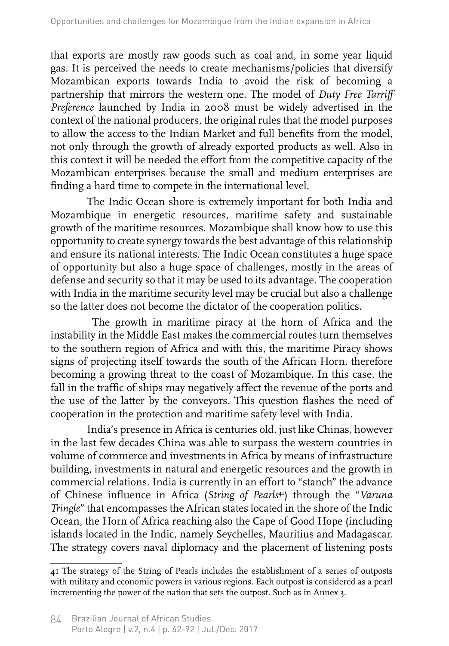that exports are mostly raw goods such as coal and, in some year liquid gas. It is perceived the needs to create mechanisms/policies that diversify Mozambican exports towards India to avoid the risk of becoming a partnership that mirrors the western one. The model of *Duty Free Tarriff Preference* launched by India in 2008 must be widely advertised in the context of the national producers, the original rules that the model purposes to allow the access to the Indian Market and full benefits from the model, not only through the growth of already exported products as well. Also in this context it will be needed the effort from the competitive capacity of the Mozambican enterprises because the small and medium enterprises are finding a hard time to compete in the international level.

The Indic Ocean shore is extremely important for both India and Mozambique in energetic resources, maritime safety and sustainable growth of the maritime resources. Mozambique shall know how to use this opportunity to create synergy towards the best advantage of this relationship and ensure its national interests. The Indic Ocean constitutes a huge space of opportunity but also a huge space of challenges, mostly in the areas of defense and security so that it may be used to its advantage. The cooperation with India in the maritime security level may be crucial but also a challenge so the latter does not become the dictator of the cooperation politics.

 The growth in maritime piracy at the horn of Africa and the instability in the Middle East makes the commercial routes turn themselves to the southern region of Africa and with this, the maritime Piracy shows signs of projecting itself towards the south of the African Horn, therefore becoming a growing threat to the coast of Mozambique. In this case, the fall in the traffic of ships may negatively affect the revenue of the ports and the use of the latter by the conveyors. This question flashes the need of cooperation in the protection and maritime safety level with India.

India's presence in Africa is centuries old, just like Chinas, however in the last few decades China was able to surpass the western countries in volume of commerce and investments in Africa by means of infrastructure building, investments in natural and energetic resources and the growth in commercial relations. India is currently in an effort to "stanch" the advance of Chinese influence in Africa (*String of Pearls*41) through the "*Varuna Tringle*" that encompasses the African states located in the shore of the Indic Ocean, the Horn of Africa reaching also the Cape of Good Hope (including islands located in the Indic, namely Seychelles, Mauritius and Madagascar. The strategy covers naval diplomacy and the placement of listening posts

<sup>41</sup> The strategy of the String of Pearls includes the establishment of a series of outposts with military and economic powers in various regions. Each outpost is considered as a pearl incrementing the power of the nation that sets the outpost. Such as in Annex 3.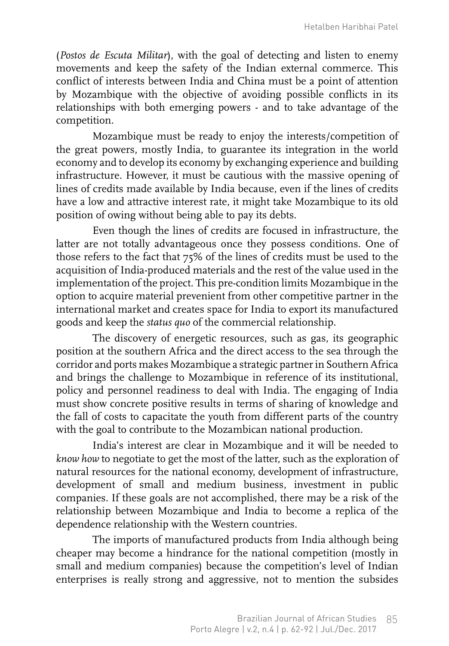(*Postos de Escuta Militar*), with the goal of detecting and listen to enemy movements and keep the safety of the Indian external commerce. This conflict of interests between India and China must be a point of attention by Mozambique with the objective of avoiding possible conflicts in its relationships with both emerging powers - and to take advantage of the competition.

Mozambique must be ready to enjoy the interests/competition of the great powers, mostly India, to guarantee its integration in the world economy and to develop its economy by exchanging experience and building infrastructure. However, it must be cautious with the massive opening of lines of credits made available by India because, even if the lines of credits have a low and attractive interest rate, it might take Mozambique to its old position of owing without being able to pay its debts.

Even though the lines of credits are focused in infrastructure, the latter are not totally advantageous once they possess conditions. One of those refers to the fact that 75% of the lines of credits must be used to the acquisition of India-produced materials and the rest of the value used in the implementation of the project. This pre-condition limits Mozambique in the option to acquire material prevenient from other competitive partner in the international market and creates space for India to export its manufactured goods and keep the *status quo* of the commercial relationship.

The discovery of energetic resources, such as gas, its geographic position at the southern Africa and the direct access to the sea through the corridor and ports makes Mozambique a strategic partner in Southern Africa and brings the challenge to Mozambique in reference of its institutional, policy and personnel readiness to deal with India. The engaging of India must show concrete positive results in terms of sharing of knowledge and the fall of costs to capacitate the youth from different parts of the country with the goal to contribute to the Mozambican national production.

India's interest are clear in Mozambique and it will be needed to *know how* to negotiate to get the most of the latter, such as the exploration of natural resources for the national economy, development of infrastructure, development of small and medium business, investment in public companies. If these goals are not accomplished, there may be a risk of the relationship between Mozambique and India to become a replica of the dependence relationship with the Western countries.

The imports of manufactured products from India although being cheaper may become a hindrance for the national competition (mostly in small and medium companies) because the competition's level of Indian enterprises is really strong and aggressive, not to mention the subsides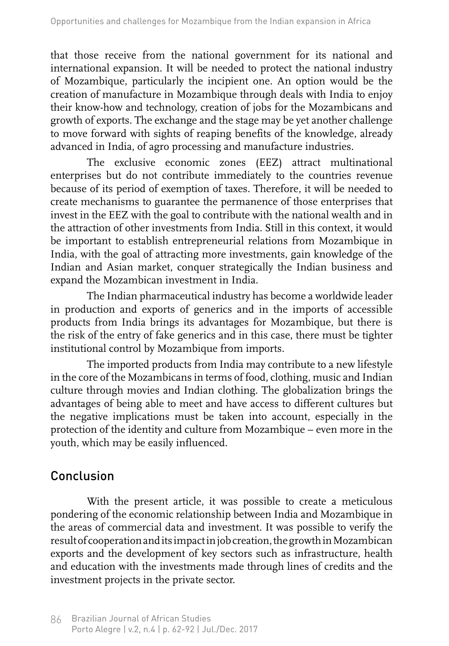that those receive from the national government for its national and international expansion. It will be needed to protect the national industry of Mozambique, particularly the incipient one. An option would be the creation of manufacture in Mozambique through deals with India to enjoy their know-how and technology, creation of jobs for the Mozambicans and growth of exports. The exchange and the stage may be yet another challenge to move forward with sights of reaping benefits of the knowledge, already advanced in India, of agro processing and manufacture industries.

The exclusive economic zones (EEZ) attract multinational enterprises but do not contribute immediately to the countries revenue because of its period of exemption of taxes. Therefore, it will be needed to create mechanisms to guarantee the permanence of those enterprises that invest in the EEZ with the goal to contribute with the national wealth and in the attraction of other investments from India. Still in this context, it would be important to establish entrepreneurial relations from Mozambique in India, with the goal of attracting more investments, gain knowledge of the Indian and Asian market, conquer strategically the Indian business and expand the Mozambican investment in India.

The Indian pharmaceutical industry has become a worldwide leader in production and exports of generics and in the imports of accessible products from India brings its advantages for Mozambique, but there is the risk of the entry of fake generics and in this case, there must be tighter institutional control by Mozambique from imports.

The imported products from India may contribute to a new lifestyle in the core of the Mozambicans in terms of food, clothing, music and Indian culture through movies and Indian clothing. The globalization brings the advantages of being able to meet and have access to different cultures but the negative implications must be taken into account, especially in the protection of the identity and culture from Mozambique – even more in the youth, which may be easily influenced.

# Conclusion

With the present article, it was possible to create a meticulous pondering of the economic relationship between India and Mozambique in the areas of commercial data and investment. It was possible to verify the result of cooperation and its impact in job creation, the growth in Mozambican exports and the development of key sectors such as infrastructure, health and education with the investments made through lines of credits and the investment projects in the private sector.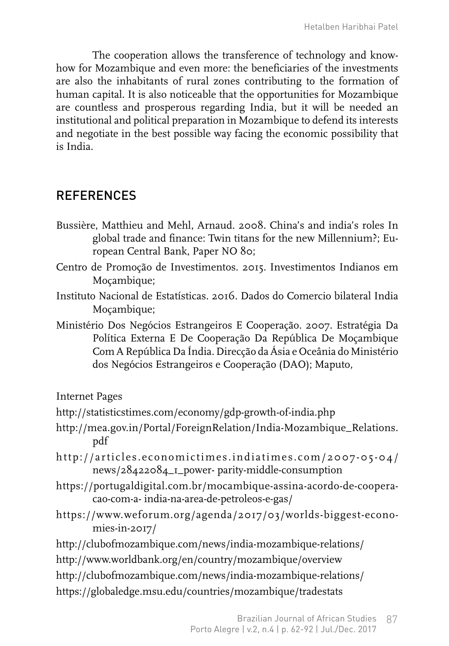The cooperation allows the transference of technology and knowhow for Mozambique and even more: the beneficiaries of the investments are also the inhabitants of rural zones contributing to the formation of human capital. It is also noticeable that the opportunities for Mozambique are countless and prosperous regarding India, but it will be needed an institutional and political preparation in Mozambique to defend its interests and negotiate in the best possible way facing the economic possibility that is India.

# **REFERENCES**

- Bussière, Matthieu and Mehl, Arnaud. 2008. China's and india's roles In global trade and finance: Twin titans for the new Millennium?; European Central Bank, Paper NO 80;
- Centro de Promoção de Investimentos. 2015. Investimentos Indianos em Moçambique;
- Instituto Nacional de Estatísticas. 2016. Dados do Comercio bilateral India Moçambique;
- Ministério Dos Negócios Estrangeiros E Cooperação. 2007. Estratégia Da Política Externa E De Cooperação Da República De Moçambique Com A República Da Índia. Direcção da Ásia e Oceânia do Ministério dos Negócios Estrangeiros e Cooperação (DAO); Maputo,

Internet Pages

http://statisticstimes.com/economy/gdp-growth-of-india.php

- http://mea.gov.in/Portal/ForeignRelation/India-Mozambique\_Relations. pdf
- http://articles.economictimes.indiatimes.com/2007-05-04/ news/28422084\_1\_power- parity-middle-consumption
- https://portugaldigital.com.br/mocambique-assina-acordo-de-cooperacao-com-a- india-na-area-de-petroleos-e-gas/
- https://www.weforum.org/agenda/2017/03/worlds-biggest-economies-in-2017/
- http://clubofmozambique.com/news/india-mozambique-relations/
- http://www.worldbank.org/en/country/mozambique/overview
- http://clubofmozambique.com/news/india-mozambique-relations/
- https://globaledge.msu.edu/countries/mozambique/tradestats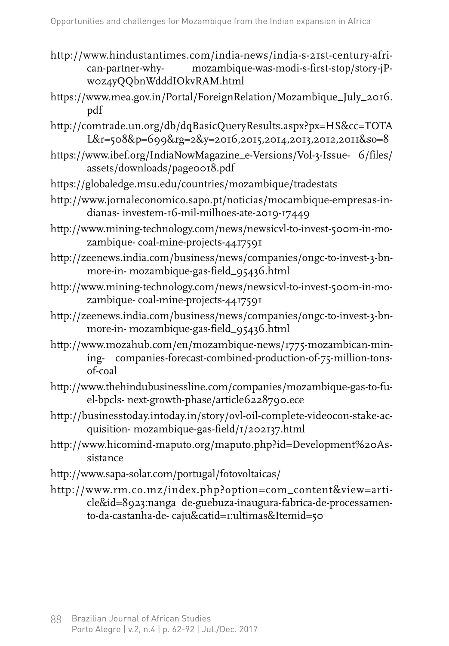- http://www.hindustantimes.com/india-news/india-s-21st-century-african-partner-why- mozambique-was-modi-s-first-stop/story-jPw0z4yQQbnWdddIOkvRAM.html
- https://www.mea.gov.in/Portal/ForeignRelation/Mozambique\_July\_2016. pdf
- http://comtrade.un.org/db/dqBasicQueryResults.aspx?px=HS&cc=TOTA L&r=508&p=699&rg=2&y=2016,2015,2014,2013,2012,2011&so=8
- https://www.ibef.org/IndiaNowMagazine\_e-Versions/Vol-3-Issue- 6/files/ assets/downloads/page0018.pdf
- https://globaledge.msu.edu/countries/mozambique/tradestats
- http://www.jornaleconomico.sapo.pt/noticias/mocambique-empresas-indianas- investem-16-mil-milhoes-ate-2019-17449
- http://www.mining-technology.com/news/newsicvl-to-invest-500m-in-mozambique- coal-mine-projects-4417591
- http://zeenews.india.com/business/news/companies/ongc-to-invest-3-bnmore-in- mozambique-gas-field\_95436.html
- http://www.mining-technology.com/news/newsicvl-to-invest-500m-in-mozambique- coal-mine-projects-4417591
- http://zeenews.india.com/business/news/companies/ongc-to-invest-3-bnmore-in- mozambique-gas-field\_95436.html
- http://www.mozahub.com/en/mozambique-news/1775-mozambican-mining- companies-forecast-combined-production-of-75-million-tonsof-coal
- http://www.thehindubusinessline.com/companies/mozambique-gas-to-fuel-bpcls- next-growth-phase/article6228790.ece
- http://businesstoday.intoday.in/story/ovl-oil-complete-videocon-stake-acquisition- mozambique-gas-field/1/202137.html
- http://www.hicomind-maputo.org/maputo.php?id=Development%20Assistance
- http://www.sapa-solar.com/portugal/fotovoltaicas/
- http://www.rm.co.mz/index.php?option=com\_content&view=article&id=8923:nanga de-guebuza-inaugura-fabrica-de-processamento-da-castanha-de- caju&catid=1:ultimas&Itemid=50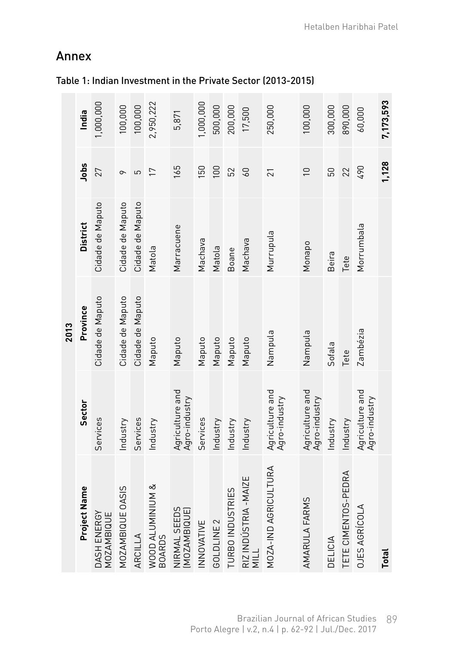|                                   |                                  | 2013             |                  |                |           |
|-----------------------------------|----------------------------------|------------------|------------------|----------------|-----------|
| Project Name                      | Sector                           | Province         | District         | Jobs           | India     |
| DASH ENERGY<br>MOZAMBIQUE         | Services                         | Cidade de Maputo | Cidade de Maputo | 27             | 1,000,000 |
| MOZAMBIQUE 0ASIS                  | Industry                         | Cidade de Maputo | Cidade de Maputo | ᡐ              | 100,000   |
| ARCILLA                           | Services                         | Cidade de Maputo | Cidade de Maputo | 5              | 100,000   |
| WOOD ALUMINIUM &<br><b>BOARDS</b> | Industry                         | Maputo           | Matola           | 17             | 2,950,222 |
| NIRMAL SEEDS<br>(MOZAMBIQUE)      | Agriculture and<br>Agro-industry | Maputo           | Marracuene       | 165            | 5,871     |
| <b>INNOVATIVE</b>                 | Services                         | Maputo           | Machava          | 150            | 1,000,000 |
| GOLDLINE <sub>2</sub>             | Industry                         | Maputo           | Matola           | 100            | 500,000   |
| TURBO INDUSTRIES                  | Industry                         | Maputo           | Boane            | 52             | 200,000   |
| RIZ INDÚSTRIA - MAIZE<br>MILL     | Industry                         | Maputo           | Machava          | 60             | 17,500    |
| MOZA-IND AGRICULTURA              | Agriculture and<br>Agro-industry | Nampula          | Murrupula        | $\overline{2}$ | 250,000   |
| <b>AMARULA FARMS</b>              | Agriculture and<br>Agro-industry | Nampula          | Monapo           | $\overline{C}$ | 100,000   |
| DELICIA                           | Industry                         | Sofala           | Beira            | 50             | 300,000   |
| TETE CIMENTOS-PEDRA               | Industry                         | Tete             | Tete             | 22             | 890,000   |
| OJES AGRÍCOLA                     | Agriculture and<br>Agro-industry | Zambézia         | Morrumbala       | 490            | 60,000    |
| Total                             |                                  |                  |                  | 1,128          | 7,173,593 |

#### Table 1: Indian Investment in the Private Sector (2013-2015)

Annex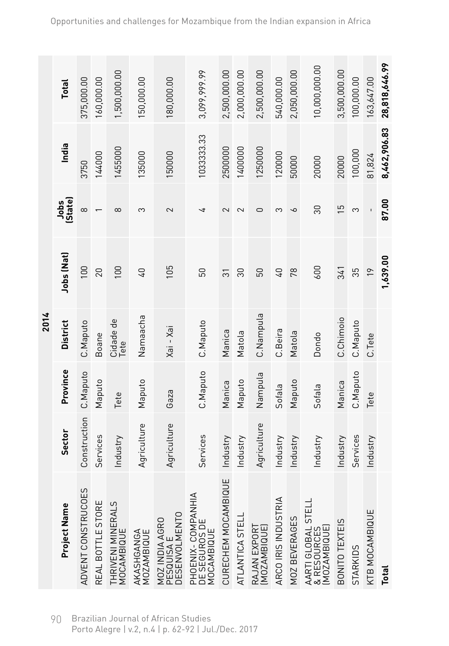|                                                           |              |          | 2014              |                   |                 |              |               |
|-----------------------------------------------------------|--------------|----------|-------------------|-------------------|-----------------|--------------|---------------|
| Project Name                                              | Sector       | Province | <b>District</b>   | <b>Jobs (Nat)</b> | Jobs<br>(State) | India        | <b>Total</b>  |
| ADVENT CONSTRUCOES                                        | Construction | C.Maputo | C. Maputo         | 100               | $\infty$        | 3750         | 375,000.00    |
| REAL BOTTLE STORE                                         | Services     | Maputo   | <b>Boane</b>      | 20                |                 | 144000       | 160,000.00    |
| THRIVENI MINERALS<br>MOCAMBIQUE                           | Industry     | Tete     | Cidade de<br>Tete | 100               | $\infty$        | 1455000      | 1,500,000.00  |
| AKASHGANGA<br>MOZAMBIQUE                                  | Agriculture  | Maputo   | Namaacha          | $\sqrt{2}$        | Σ               | 135000       | 50,000.00     |
| MOZ INDIA AGRO<br>PESQUISA E<br>DESENVOLMENTO             | Agriculture  | Gaza     | Xai - Xai         | 105               | 2               | 150000       | 180,000.00    |
| $\leq$<br>PHOENIX- COMPANH<br>DE SEGUROS DE<br>MOCAMBIQUE | Services     | C.Maputo | C. Maputo         | 50                | ₹               | 1033333.33   | 3,099,999.99  |
| CURECHEM MOCAMBIQUE                                       | Industry     | Manica   | Manica            | $\overline{3}$    | 2               | 2500000      | 2,500,000.00  |
| ATLANTICA STELL                                           | Industry     | Maputo   | Matola            | $\overline{30}$   | 2               | 1400000      | 2,000,000.00  |
| RAJAN EXPORT<br>(MOZAMBIQUE)                              | Agriculture  | Nampula  | C.Nampula         | 50                | $\circ$         | 1250000      | 2,500,000.00  |
| ARCO IRIS INDUSTRIA                                       | Industry     | Sofala   | C.Beira           | $\sqrt{2}$        | Σ               | 120000       | 540,000.00    |
| MOZ BEVERAGES                                             | Industry     | Maputo   | Matola            | 78                | ∽               | 50000        | 2,050,000.00  |
| AARTI GLOBAL STELI<br>& RESOURCES<br>(MOZAMBIQUE)         | Industry     | Sofala   | Dondo             | 600               | 30              | 20000        | 10,000,000.00 |
| BONITO TEXTEIS                                            | Industry     | Manica   | C.Chimoio         | 341               | 15              | 20000        | 3,500,000.00  |
| <b>STARKIDS</b>                                           | Services     | C.Maputo | C.Maputo          | 55                | က               | 100,000      | 100,000.00    |
| KTB MOCAMBIQUE                                            | Industry     | Tete     | C. Tete           | $\frac{9}{2}$     |                 | 81,824       | 163,647.00    |
| <b>Total</b>                                              |              |          |                   | 1,639.00          | 87.00           | 8,462,906.83 | 28,818,646.99 |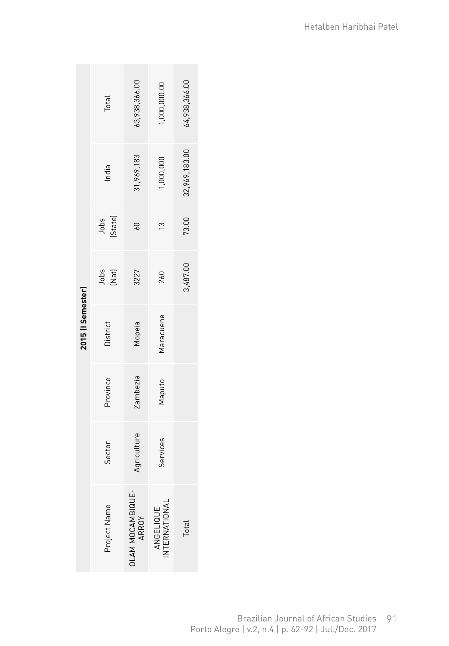|                   | Total           | 63,938,366.00             | ,000,000.00                | 64,938,366.00 |
|-------------------|-----------------|---------------------------|----------------------------|---------------|
|                   | India           | 31,969,183                | 1,000,000                  | 32,969,183.00 |
|                   | Jobs<br>(State) | $\overline{0}$            | $\frac{3}{2}$              | 73.00         |
|                   | Jobs<br>(Nat)   | 3227                      | 260                        | 3,487.00      |
| 2015 (I Semester) | District        | Mopeia                    | Maracuene                  |               |
|                   | Province        | Zambezia                  | Maputo                     |               |
|                   | Sector          | Agriculture               | Services                   |               |
|                   | Project Name    | OLAM MOCAMBIQUE-<br>ARROY | ANGELIQUE<br>INTERNATIONAL | <b>Total</b>  |